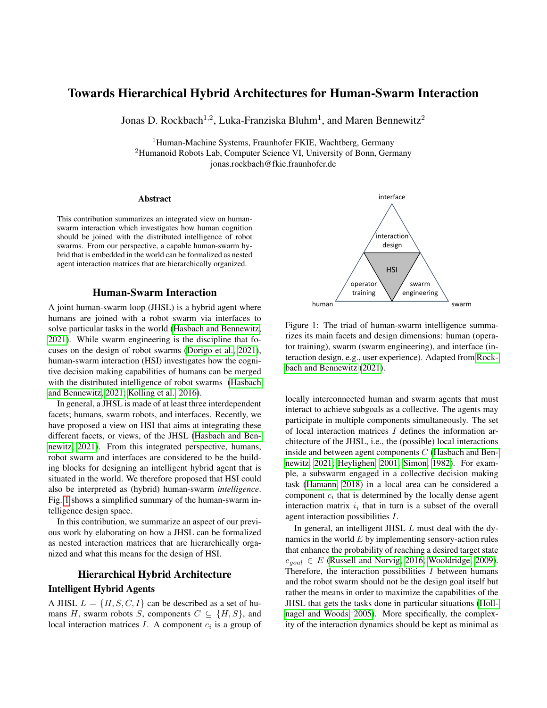# Towards Hierarchical Hybrid Architectures for Human-Swarm Interaction

Jonas D. Rockbach<sup>1,2</sup>, Luka-Franziska Bluhm<sup>1</sup>, and Maren Bennewitz<sup>2</sup>

<sup>1</sup>Human-Machine Systems, Fraunhofer FKIE, Wachtberg, Germany <sup>2</sup>Humanoid Robots Lab, Computer Science VI, University of Bonn, Germany jonas.rockbach@fkie.fraunhofer.de

#### Abstract

This contribution summarizes an integrated view on humanswarm interaction which investigates how human cognition should be joined with the distributed intelligence of robot swarms. From our perspective, a capable human-swarm hybrid that is embedded in the world can be formalized as nested agent interaction matrices that are hierarchically organized.

### Human-Swarm Interaction

A joint human-swarm loop (JHSL) is a hybrid agent where humans are joined with a robot swarm via interfaces to solve particular tasks in the world [\(Hasbach and Bennewitz,](#page-2-0) [2021\)](#page-2-0). While swarm engineering is the discipline that focuses on the design of robot swarms [\(Dorigo et al., 2021\)](#page-2-1), human-swarm interaction (HSI) investigates how the cognitive decision making capabilities of humans can be merged with the distributed intelligence of robot swarms [\(Hasbach](#page-2-0) [and Bennewitz, 2021;](#page-2-0) [Kolling et al., 2016\)](#page-2-2).

In general, a JHSL is made of at least three interdependent facets; humans, swarm robots, and interfaces. Recently, we have proposed a view on HSI that aims at integrating these different facets, or views, of the JHSL [\(Hasbach and Ben](#page-2-0)[newitz, 2021\)](#page-2-0). From this integrated perspective, humans, robot swarm and interfaces are considered to be the building blocks for designing an intelligent hybrid agent that is situated in the world. We therefore proposed that HSI could also be interpreted as (hybrid) human-swarm *intelligence*. Fig. [1](#page-0-0) shows a simplified summary of the human-swarm intelligence design space.

In this contribution, we summarize an aspect of our previous work by elaborating on how a JHSL can be formalized as nested interaction matrices that are hierarchically organized and what this means for the design of HSI.

# Hierarchical Hybrid Architecture

# Intelligent Hybrid Agents

A JHSL  $L = \{H, S, C, I\}$  can be described as a set of humans H, swarm robots S, components  $C \subseteq \{H, S\}$ , and local interaction matrices  $I$ . A component  $c_i$  is a group of



<span id="page-0-0"></span>Figure 1: The triad of human-swarm intelligence summarizes its main facets and design dimensions: human (operator training), swarm (swarm engineering), and interface (interaction design, e.g., user experience). Adapted from [Rock](#page-2-3)[bach and Bennewitz](#page-2-3) [\(2021\)](#page-2-3).

locally interconnected human and swarm agents that must interact to achieve subgoals as a collective. The agents may participate in multiple components simultaneously. The set of local interaction matrices I defines the information architecture of the JHSL, i.e., the (possible) local interactions inside and between agent components C [\(Hasbach and Ben](#page-2-0)[newitz, 2021;](#page-2-0) [Heylighen, 2001;](#page-2-4) [Simon, 1982\)](#page-2-5). For example, a subswarm engaged in a collective decision making task [\(Hamann, 2018\)](#page-2-6) in a local area can be considered a component  $c_i$  that is determined by the locally dense agent interaction matrix  $i_i$  that in turn is a subset of the overall agent interaction possibilities I.

In general, an intelligent JHSL L must deal with the dynamics in the world  $E$  by implementing sensory-action rules that enhance the probability of reaching a desired target state  $e_{goal} \in E$  [\(Russell and Norvig, 2016;](#page-2-7) [Wooldridge, 2009\)](#page-2-8). Therefore, the interaction possibilities  $I$  between humans and the robot swarm should not be the design goal itself but rather the means in order to maximize the capabilities of the JHSL that gets the tasks done in particular situations [\(Holl](#page-2-9)[nagel and Woods, 2005\)](#page-2-9). More specifically, the complexity of the interaction dynamics should be kept as minimal as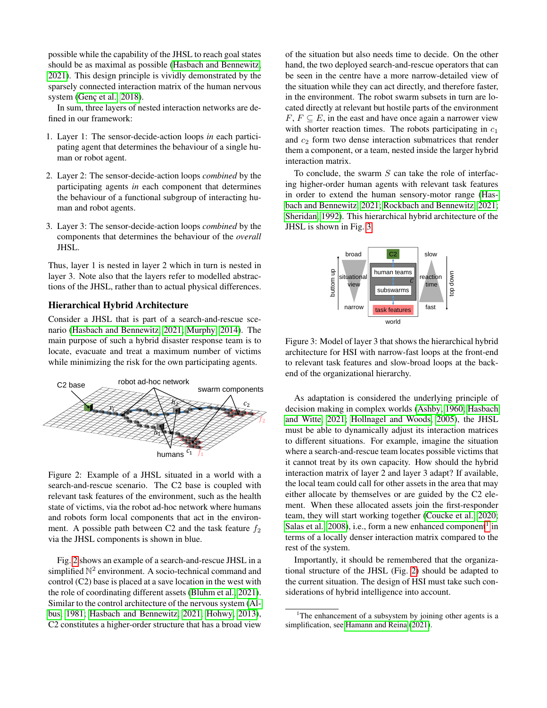possible while the capability of the JHSL to reach goal states should be as maximal as possible [\(Hasbach and Bennewitz,](#page-2-0) [2021\)](#page-2-0). This design principle is vividly demonstrated by the sparsely connected interaction matrix of the human nervous system (Genç et al., 2018).

In sum, three layers of nested interaction networks are defined in our framework:

- 1. Layer 1: The sensor-decide-action loops *in* each participating agent that determines the behaviour of a single human or robot agent.
- 2. Layer 2: The sensor-decide-action loops *combined* by the participating agents *in* each component that determines the behaviour of a functional subgroup of interacting human and robot agents.
- 3. Layer 3: The sensor-decide-action loops *combined* by the components that determines the behaviour of the *overall* JHSL.

Thus, layer 1 is nested in layer 2 which in turn is nested in layer 3. Note also that the layers refer to modelled abstractions of the JHSL, rather than to actual physical differences.

## Hierarchical Hybrid Architecture

Consider a JHSL that is part of a search-and-rescue scenario [\(Hasbach and Bennewitz, 2021;](#page-2-0) [Murphy, 2014\)](#page-2-11). The main purpose of such a hybrid disaster response team is to locate, evacuate and treat a maximum number of victims while minimizing the risk for the own participating agents.



<span id="page-1-0"></span>Figure 2: Example of a JHSL situated in a world with a search-and-rescue scenario. The C2 base is coupled with relevant task features of the environment, such as the health state of victims, via the robot ad-hoc network where humans and robots form local components that act in the environment. A possible path between C2 and the task feature  $f_2$ via the JHSL components is shown in blue.

Fig. [2](#page-1-0) shows an example of a search-and-rescue JHSL in a simplified  $\mathbb{N}^2$  environment. A socio-technical command and control (C2) base is placed at a save location in the west with the role of coordinating different assets [\(Bluhm et al., 2021\)](#page-2-12). Similar to the control architecture of the nervous system [\(Al](#page-2-13)[bus, 1981;](#page-2-13) [Hasbach and Bennewitz, 2021;](#page-2-0) [Hohwy, 2013\)](#page-2-14), C2 constitutes a higher-order structure that has a broad view

of the situation but also needs time to decide. On the other hand, the two deployed search-and-rescue operators that can be seen in the centre have a more narrow-detailed view of the situation while they can act directly, and therefore faster, in the environment. The robot swarm subsets in turn are located directly at relevant but hostile parts of the environment  $F, F \subseteq E$ , in the east and have once again a narrower view with shorter reaction times. The robots participating in  $c_1$ and  $c_2$  form two dense interaction submatrices that render them a component, or a team, nested inside the larger hybrid interaction matrix.

To conclude, the swarm  $S$  can take the role of interfacing higher-order human agents with relevant task features in order to extend the human sensory-motor range [\(Has](#page-2-0)[bach and Bennewitz, 2021;](#page-2-0) [Rockbach and Bennewitz, 2021;](#page-2-3) [Sheridan, 1992\)](#page-2-15). This hierarchical hybrid architecture of the JHSL is shown in Fig. [3.](#page-1-1)



<span id="page-1-1"></span>Figure 3: Model of layer 3 that shows the hierarchical hybrid architecture for HSI with narrow-fast loops at the front-end to relevant task features and slow-broad loops at the backend of the organizational hierarchy.

As adaptation is considered the underlying principle of decision making in complex worlds [\(Ashby, 1960;](#page-2-16) [Hasbach](#page-2-17) [and Witte, 2021;](#page-2-17) [Hollnagel and Woods, 2005\)](#page-2-9), the JHSL must be able to dynamically adjust its interaction matrices to different situations. For example, imagine the situation where a search-and-rescue team locates possible victims that it cannot treat by its own capacity. How should the hybrid interaction matrix of layer 2 and layer 3 adapt? If available, the local team could call for other assets in the area that may either allocate by themselves or are guided by the C2 element. When these allocated assets join the first-responder team, they will start working together [\(Coucke et al., 2020;](#page-2-18) [Salas et al., 2008\)](#page-2-19), i.e., form a new enhanced component<sup>[1](#page-1-2)</sup> in terms of a locally denser interaction matrix compared to the rest of the system.

Importantly, it should be remembered that the organizational structure of the JHSL (Fig. [2\)](#page-1-0) should be adapted to the current situation. The design of HSI must take such considerations of hybrid intelligence into account.

<span id="page-1-2"></span><sup>&</sup>lt;sup>1</sup>The enhancement of a subsystem by joining other agents is a simplification, see [Hamann and Reina](#page-2-20) [\(2021\)](#page-2-20).